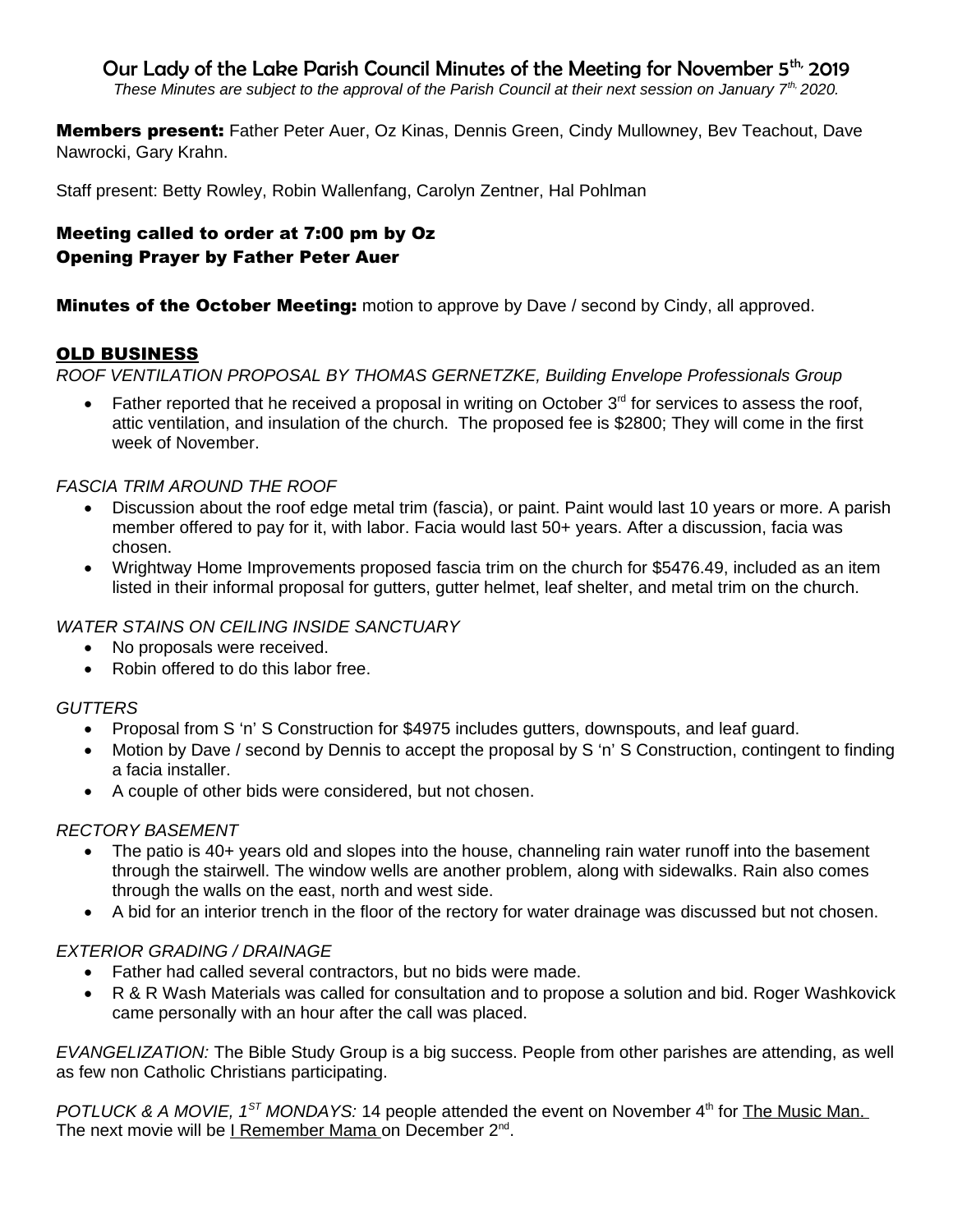# Our Lady of the Lake Parish Council Minutes of the Meeting for November 5<sup>th,</sup> 2019

*These Minutes are subject to the approval of the Parish Council at their next session on January 7th, 2020.* 

Members present: Father Peter Auer, Oz Kinas, Dennis Green, Cindy Mullowney, Bev Teachout, Dave Nawrocki, Gary Krahn.

Staff present: Betty Rowley, Robin Wallenfang, Carolyn Zentner, Hal Pohlman

### Meeting called to order at 7:00 pm by Oz Opening Prayer by Father Peter Auer

**Minutes of the October Meeting:** motion to approve by Dave / second by Cindy, all approved.

### OLD BUSINESS

*ROOF VENTILATION PROPOSAL BY THOMAS GERNETZKE, Building Envelope Professionals Group*

• Father reported that he received a proposal in writing on October 3<sup>rd</sup> for services to assess the roof, attic ventilation, and insulation of the church. The proposed fee is \$2800; They will come in the first week of November.

#### *FASCIA TRIM AROUND THE ROOF*

- Discussion about the roof edge metal trim (fascia), or paint. Paint would last 10 years or more. A parish member offered to pay for it, with labor. Facia would last 50+ years. After a discussion, facia was chosen.
- Wrightway Home Improvements proposed fascia trim on the church for \$5476.49, included as an item listed in their informal proposal for gutters, gutter helmet, leaf shelter, and metal trim on the church.

#### *WATER STAINS ON CEILING INSIDE SANCTUARY*

- No proposals were received.
- Robin offered to do this labor free.

#### *GUTTERS*

- Proposal from S 'n' S Construction for \$4975 includes gutters, downspouts, and leaf guard.
- Motion by Dave / second by Dennis to accept the proposal by S 'n' S Construction, contingent to finding a facia installer.
- A couple of other bids were considered, but not chosen.

#### *RECTORY BASEMENT*

- The patio is 40+ years old and slopes into the house, channeling rain water runoff into the basement through the stairwell. The window wells are another problem, along with sidewalks. Rain also comes through the walls on the east, north and west side.
- A bid for an interior trench in the floor of the rectory for water drainage was discussed but not chosen.

#### *EXTERIOR GRADING / DRAINAGE*

- Father had called several contractors, but no bids were made.
- R & R Wash Materials was called for consultation and to propose a solution and bid. Roger Washkovick came personally with an hour after the call was placed.

*EVANGELIZATION:* The Bible Study Group is a big success. People from other parishes are attending, as well as few non Catholic Christians participating.

*POTLUCK & A MOVIE, 1<sup>ST</sup> MONDAYS:* 14 people attended the event on November 4<sup>th</sup> for The Music Man. The next movie will be <u>I Remember Mama on December 2<sup>nd</sup>.</u>